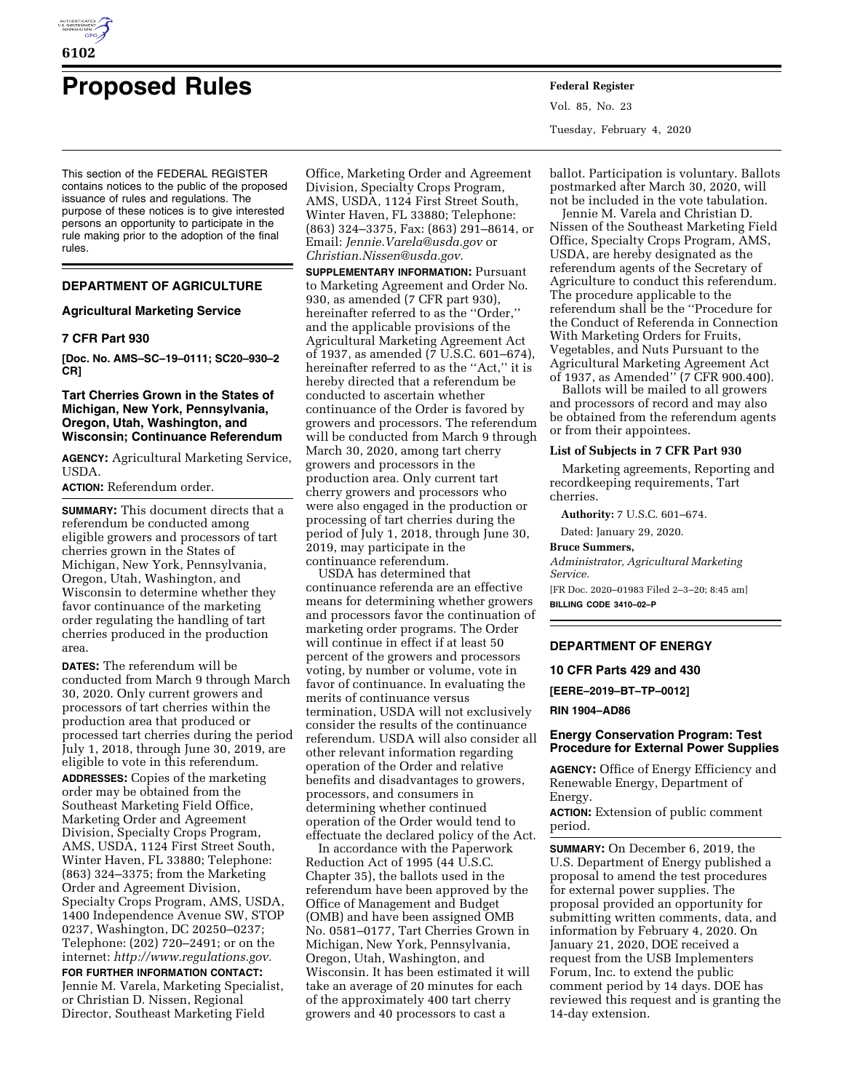

# **Proposed Rules Federal Register**

This section of the FEDERAL REGISTER contains notices to the public of the proposed issuance of rules and regulations. The purpose of these notices is to give interested persons an opportunity to participate in the rule making prior to the adoption of the final rules.

# **DEPARTMENT OF AGRICULTURE**

## **Agricultural Marketing Service**

# **7 CFR Part 930**

**[Doc. No. AMS–SC–19–0111; SC20–930–2 CR]** 

# **Tart Cherries Grown in the States of Michigan, New York, Pennsylvania, Oregon, Utah, Washington, and Wisconsin; Continuance Referendum**

**AGENCY:** Agricultural Marketing Service, USDA.

**ACTION:** Referendum order.

**SUMMARY:** This document directs that a referendum be conducted among eligible growers and processors of tart cherries grown in the States of Michigan, New York, Pennsylvania, Oregon, Utah, Washington, and Wisconsin to determine whether they favor continuance of the marketing order regulating the handling of tart cherries produced in the production area.

**DATES:** The referendum will be conducted from March 9 through March 30, 2020. Only current growers and processors of tart cherries within the production area that produced or processed tart cherries during the period July 1, 2018, through June 30, 2019, are eligible to vote in this referendum. **ADDRESSES:** Copies of the marketing order may be obtained from the Southeast Marketing Field Office, Marketing Order and Agreement Division, Specialty Crops Program, AMS, USDA, 1124 First Street South, Winter Haven, FL 33880; Telephone: (863) 324–3375; from the Marketing Order and Agreement Division, Specialty Crops Program, AMS, USDA, 1400 Independence Avenue SW, STOP 0237, Washington, DC 20250–0237; Telephone: (202) 720–2491; or on the internet: *[http://www.regulations.gov.](http://www.regulations.gov)* 

**FOR FURTHER INFORMATION CONTACT:**  Jennie M. Varela, Marketing Specialist, or Christian D. Nissen, Regional Director, Southeast Marketing Field

Office, Marketing Order and Agreement Division, Specialty Crops Program, AMS, USDA, 1124 First Street South, Winter Haven, FL 33880; Telephone: (863) 324–3375, Fax: (863) 291–8614, or Email: *[Jennie.Varela@usda.gov](mailto:Jennie.Varela@usda.gov)* or *[Christian.Nissen@usda.gov.](mailto:Christian.Nissen@usda.gov)* 

**SUPPLEMENTARY INFORMATION:** Pursuant to Marketing Agreement and Order No. 930, as amended (7 CFR part 930), hereinafter referred to as the ''Order,'' and the applicable provisions of the Agricultural Marketing Agreement Act of 1937, as amended (7 U.S.C. 601–674), hereinafter referred to as the ''Act,'' it is hereby directed that a referendum be conducted to ascertain whether continuance of the Order is favored by growers and processors. The referendum will be conducted from March 9 through March 30, 2020, among tart cherry growers and processors in the production area. Only current tart cherry growers and processors who were also engaged in the production or processing of tart cherries during the period of July 1, 2018, through June 30, 2019, may participate in the continuance referendum.

USDA has determined that continuance referenda are an effective means for determining whether growers and processors favor the continuation of marketing order programs. The Order will continue in effect if at least 50 percent of the growers and processors voting, by number or volume, vote in favor of continuance. In evaluating the merits of continuance versus termination, USDA will not exclusively consider the results of the continuance referendum. USDA will also consider all other relevant information regarding operation of the Order and relative benefits and disadvantages to growers, processors, and consumers in determining whether continued operation of the Order would tend to effectuate the declared policy of the Act.

In accordance with the Paperwork Reduction Act of 1995 (44 U.S.C. Chapter 35), the ballots used in the referendum have been approved by the Office of Management and Budget (OMB) and have been assigned OMB No. 0581–0177, Tart Cherries Grown in Michigan, New York, Pennsylvania, Oregon, Utah, Washington, and Wisconsin. It has been estimated it will take an average of 20 minutes for each of the approximately 400 tart cherry growers and 40 processors to cast a

Vol. 85, No. 23 Tuesday, February 4, 2020

ballot. Participation is voluntary. Ballots postmarked after March 30, 2020, will not be included in the vote tabulation.

Jennie M. Varela and Christian D. Nissen of the Southeast Marketing Field Office, Specialty Crops Program, AMS, USDA, are hereby designated as the referendum agents of the Secretary of Agriculture to conduct this referendum. The procedure applicable to the referendum shall be the ''Procedure for the Conduct of Referenda in Connection With Marketing Orders for Fruits, Vegetables, and Nuts Pursuant to the Agricultural Marketing Agreement Act of 1937, as Amended'' (7 CFR 900.400).

Ballots will be mailed to all growers and processors of record and may also be obtained from the referendum agents or from their appointees.

# **List of Subjects in 7 CFR Part 930**

Marketing agreements, Reporting and recordkeeping requirements, Tart cherries.

**Authority:** 7 U.S.C. 601–674.

Dated: January 29, 2020.

## **Bruce Summers,**

*Administrator, Agricultural Marketing Service.* 

[FR Doc. 2020–01983 Filed 2–3–20; 8:45 am] **BILLING CODE 3410–02–P** 

# **DEPARTMENT OF ENERGY**

## **10 CFR Parts 429 and 430**

**[EERE–2019–BT–TP–0012]** 

**RIN 1904–AD86** 

# **Energy Conservation Program: Test Procedure for External Power Supplies**

**AGENCY:** Office of Energy Efficiency and Renewable Energy, Department of Energy.

**ACTION:** Extension of public comment period.

**SUMMARY:** On December 6, 2019, the U.S. Department of Energy published a proposal to amend the test procedures for external power supplies. The proposal provided an opportunity for submitting written comments, data, and information by February 4, 2020. On January 21, 2020, DOE received a request from the USB Implementers Forum, Inc. to extend the public comment period by 14 days. DOE has reviewed this request and is granting the 14-day extension.